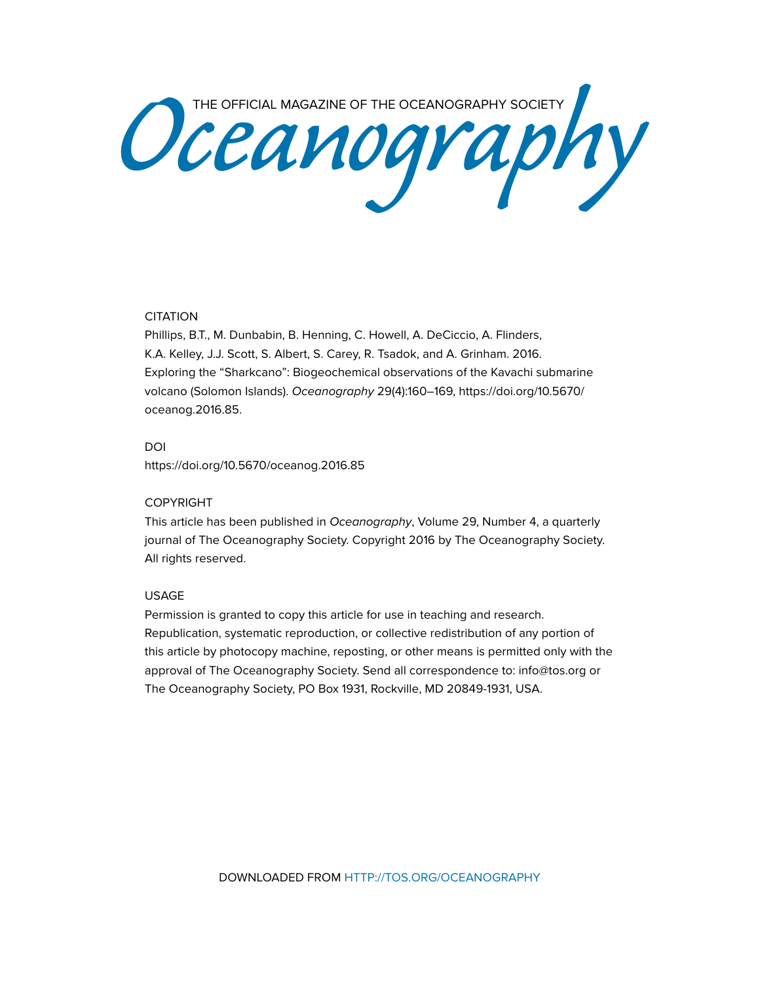Oceanography Society

# **CITATION**

Phillips, B.T., M. Dunbabin, B. Henning, C. Howell, A. DeCiccio, A. Flinders, K.A. Kelley, J.J. Scott, S. Albert, S. Carey, R. Tsadok, and A. Grinham. 2016. Exploring the "Sharkcano": Biogeochemical observations of the Kavachi submarine volcano (Solomon Islands). *Oceanography* 29(4):160–169, [https://doi.org/10.5670/](https://doi.org/10.5670/oceanog.2016.85) [oceanog.2016.85.](https://doi.org/10.5670/oceanog.2016.85)

# DOI

<https://doi.org/10.5670/oceanog.2016.85>

## COPYRIGHT

This article has been published in *Oceanography*, Volume 29, Number 4, a quarterly journal of The Oceanography Society. Copyright 2016 by The Oceanography Society. All rights reserved.

#### USAGE

Permission is granted to copy this article for use in teaching and research. Republication, systematic reproduction, or collective redistribution of any portion of this article by photocopy machine, reposting, or other means is permitted only with the approval of The Oceanography Society. Send all correspondence to: [info@tos.org](mailto:info@tos.org) or The Oceanography Society, PO Box 1931, Rockville, MD 20849-1931, USA.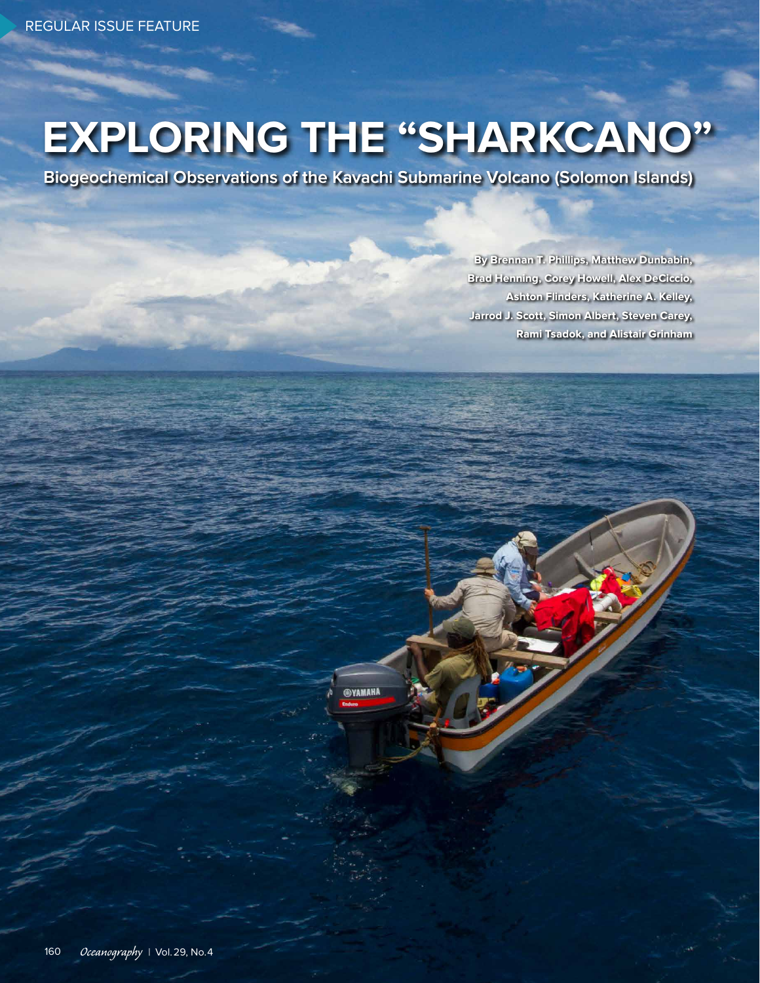# **EXPLORING THE "SHARKCANO"**

**Biogeochemical Observations of the Kavachi Submarine Volcano (Solomon Islands)**

**SYAMAHA** 

**By Brennan T. Phillips, Matthew Dunbabin, Brad Henning, Corey Howell, Alex DeCiccio, Ashton Flinders, Katherine A. Kelley, Jarrod J. Scott, Simon Albert, Steven Carey, Rami Tsadok, and Alistair Grinham**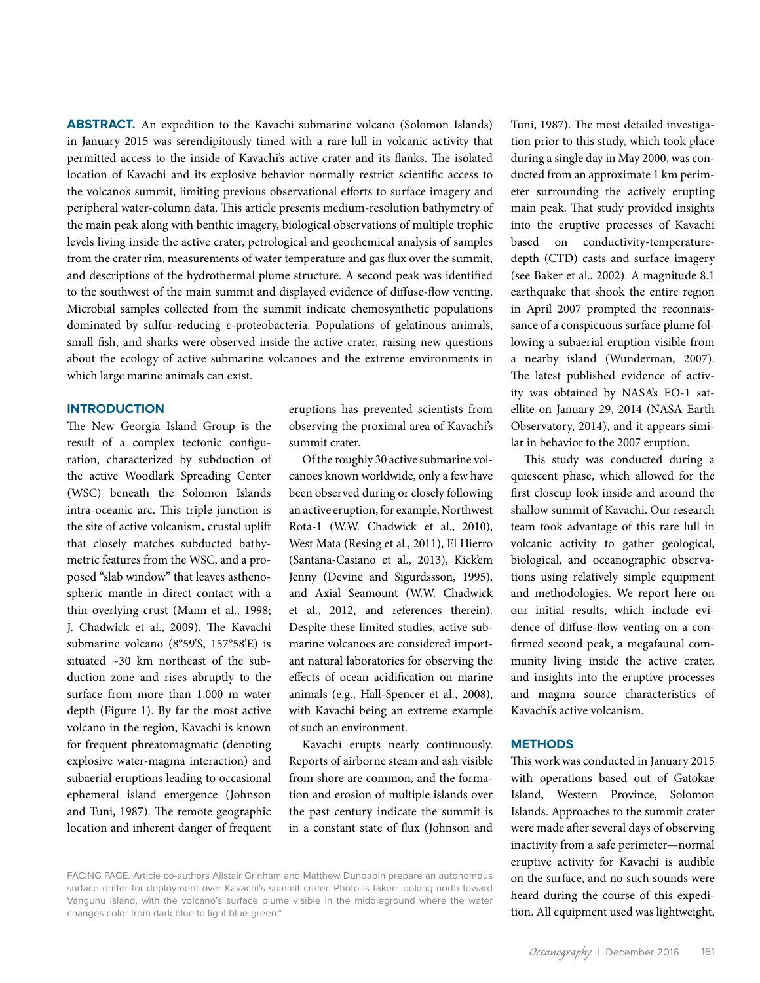**ABSTRACT.** An expedition to the Kavachi submarine volcano (Solomon Islands) in January 2015 was serendipitously timed with a rare lull in volcanic activity that permitted access to the inside of Kavachi's active crater and its flanks. The isolated location of Kavachi and its explosive behavior normally restrict scientific access to the volcano's summit, limiting previous observational efforts to surface imagery and peripheral water-column data. This article presents medium-resolution bathymetry of the main peak along with benthic imagery, biological observations of multiple trophic levels living inside the active crater, petrological and geochemical analysis of samples from the crater rim, measurements of water temperature and gas flux over the summit, and descriptions of the hydrothermal plume structure. A second peak was identified to the southwest of the main summit and displayed evidence of diffuse-flow venting. Microbial samples collected from the summit indicate chemosynthetic populations dominated by sulfur-reducing ε-proteobacteria. Populations of gelatinous animals, small fish, and sharks were observed inside the active crater, raising new questions about the ecology of active submarine volcanoes and the extreme environments in which large marine animals can exist.

### **INTRODUCTION**

The New Georgia Island Group is the result of a complex tectonic configuration, characterized by subduction of the active Woodlark Spreading Center (WSC) beneath the Solomon Islands intra-oceanic arc. This triple junction is the site of active volcanism, crustal uplift that closely matches subducted bathymetric features from the WSC, and a proposed "slab window" that leaves asthenospheric mantle in direct contact with a thin overlying crust (Mann et al., 1998; J. Chadwick et al., 2009). The Kavachi submarine volcano (8°59'S, 157°58'E) is situated ~30 km northeast of the subduction zone and rises abruptly to the surface from more than 1,000 m water depth (Figure 1). By far the most active volcano in the region, Kavachi is known for frequent phreatomagmatic (denoting explosive water-magma interaction) and subaerial eruptions leading to occasional ephemeral island emergence (Johnson and Tuni, 1987). The remote geographic location and inherent danger of frequent eruptions has prevented scientists from observing the proximal area of Kavachi's summit crater.

Of the roughly 30 active submarine volcanoes known worldwide, only a few have been observed during or closely following an active eruption, for example, Northwest Rota-1 (W.W. Chadwick et al., 2010), West Mata (Resing et al., 2011), El Hierro (Santana-Casiano et al., 2013), Kick'em Jenny (Devine and Sigurdssson, 1995), and Axial Seamount (W.W. Chadwick et al., 2012, and references therein). Despite these limited studies, active submarine volcanoes are considered important natural laboratories for observing the effects of ocean acidification on marine animals (e.g., Hall-Spencer et al., 2008), with Kavachi being an extreme example of such an environment.

Kavachi erupts nearly continuously. Reports of airborne steam and ash visible from shore are common, and the formation and erosion of multiple islands over the past century indicate the summit is in a constant state of flux (Johnson and

Tuni, 1987). The most detailed investigation prior to this study, which took place during a single day in May 2000, was conducted from an approximate 1 km perimeter surrounding the actively erupting main peak. That study provided insights into the eruptive processes of Kavachi based on conductivity-temperaturedepth (CTD) casts and surface imagery (see Baker et al., 2002). A magnitude 8.1 earthquake that shook the entire region in April 2007 prompted the reconnaissance of a conspicuous surface plume following a subaerial eruption visible from a nearby island (Wunderman, 2007). The latest published evidence of activity was obtained by NASA's EO-1 satellite on January 29, 2014 (NASA Earth Observatory, 2014), and it appears similar in behavior to the 2007 eruption.

This study was conducted during a quiescent phase, which allowed for the first closeup look inside and around the shallow summit of Kavachi. Our research team took advantage of this rare lull in volcanic activity to gather geological, biological, and oceanographic observations using relatively simple equipment and methodologies. We report here on our initial results, which include evidence of diffuse-flow venting on a confirmed second peak, a megafaunal community living inside the active crater, and insights into the eruptive processes and magma source characteristics of Kavachi's active volcanism.

## **METHODS**

This work was conducted in January 2015 with operations based out of Gatokae Island, Western Province, Solomon Islands. Approaches to the summit crater were made after several days of observing inactivity from a safe perimeter—normal eruptive activity for Kavachi is audible on the surface, and no such sounds were heard during the course of this expedition. All equipment used was lightweight,

FACING PAGE. Article co-authors Alistair Grinham and Matthew Dunbabin prepare an autonomous surface drifter for deployment over Kavachi's summit crater. Photo is taken looking north toward Vangunu Island, with the volcano's surface plume visible in the middleground where the water changes color from dark blue to light blue-green."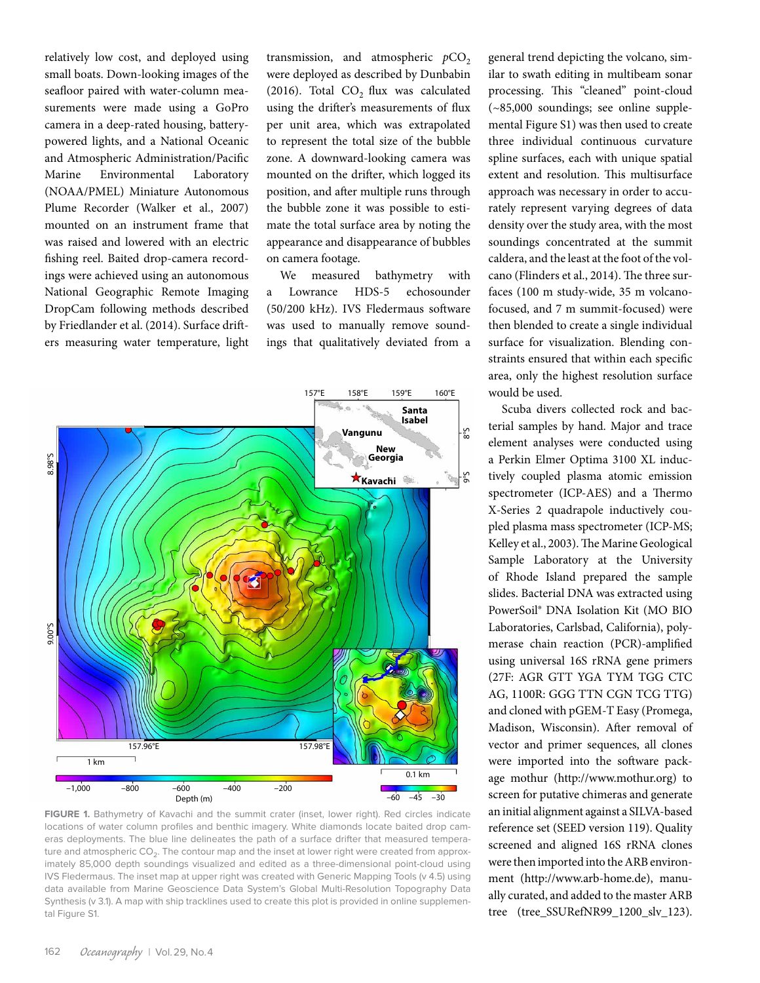relatively low cost, and deployed using small boats. Down-looking images of the seafloor paired with water-column measurements were made using a GoPro camera in a deep-rated housing, batterypowered lights, and a National Oceanic and Atmospheric Administration/Pacific Marine Environmental Laboratory (NOAA/PMEL) Miniature Autonomous Plume Recorder (Walker et al., 2007) mounted on an instrument frame that was raised and lowered with an electric fishing reel. Baited drop-camera recordings were achieved using an autonomous National Geographic Remote Imaging DropCam following methods described by Friedlander et al. (2014). Surface drifters measuring water temperature, light

transmission, and atmospheric  $pCO<sub>2</sub>$ were deployed as described by Dunbabin (2016). Total  $CO<sub>2</sub>$  flux was calculated using the drifter's measurements of flux per unit area, which was extrapolated to represent the total size of the bubble zone. A downward-looking camera was mounted on the drifter, which logged its position, and after multiple runs through the bubble zone it was possible to estimate the total surface area by noting the appearance and disappearance of bubbles on camera footage.

We measured bathymetry with a Lowrance HDS-5 echosounder (50/200 kHz). IVS Fledermaus software was used to manually remove soundings that qualitatively deviated from a



**FIGURE 1.** Bathymetry of Kavachi and the summit crater (inset, lower right). Red circles indicate locations of water column profiles and benthic imagery. White diamonds locate baited drop cameras deployments. The blue line delineates the path of a surface drifter that measured temperature and atmospheric CO<sub>2</sub>. The contour map and the inset at lower right were created from approximately 85,000 depth soundings visualized and edited as a three-dimensional point-cloud using IVS Fledermaus. The inset map at upper right was created with Generic Mapping Tools (v 4.5) using data available from Marine Geoscience Data System's Global Multi-Resolution Topography Data Synthesis (v 3.1). A map with ship tracklines used to create this plot is provided in online supplemental Figure S1.

general trend depicting the volcano, similar to swath editing in multibeam sonar processing. This "cleaned" point-cloud (~85,000 soundings; see online supplemental Figure S1) was then used to create three individual continuous curvature spline surfaces, each with unique spatial extent and resolution. This multisurface approach was necessary in order to accurately represent varying degrees of data density over the study area, with the most soundings concentrated at the summit caldera, and the least at the foot of the volcano (Flinders et al., 2014). The three surfaces (100 m study-wide, 35 m volcanofocused, and 7 m summit-focused) were then blended to create a single individual surface for visualization. Blending constraints ensured that within each specific area, only the highest resolution surface would be used.

Scuba divers collected rock and bacterial samples by hand. Major and trace element analyses were conducted using a Perkin Elmer Optima 3100 XL inductively coupled plasma atomic emission spectrometer (ICP-AES) and a Thermo X-Series 2 quadrapole inductively coupled plasma mass spectrometer (ICP-MS; Kelley et al., 2003). The Marine Geological Sample Laboratory at the University of Rhode Island prepared the sample slides. Bacterial DNA was extracted using PowerSoil® DNA Isolation Kit (MO BIO Laboratories, Carlsbad, California), polymerase chain reaction (PCR)-amplified using universal 16S rRNA gene primers (27F: AGR GTT YGA TYM TGG CTC AG, 1100R: GGG TTN CGN TCG TTG) and cloned with pGEM-T Easy (Promega, Madison, Wisconsin). After removal of vector and primer sequences, all clones were imported into the software package mothur ([http://www.mothur.org\)](http://www.mothur.org) to screen for putative chimeras and generate an initial alignment against a SILVA-based reference set (SEED version 119). Quality screened and aligned 16S rRNA clones were then imported into the ARB environment ([http://www.arb-home.de\)](http://www.arb-home.de), manually curated, and added to the master ARB tree (tree\_SSURefNR99\_1200\_slv\_123).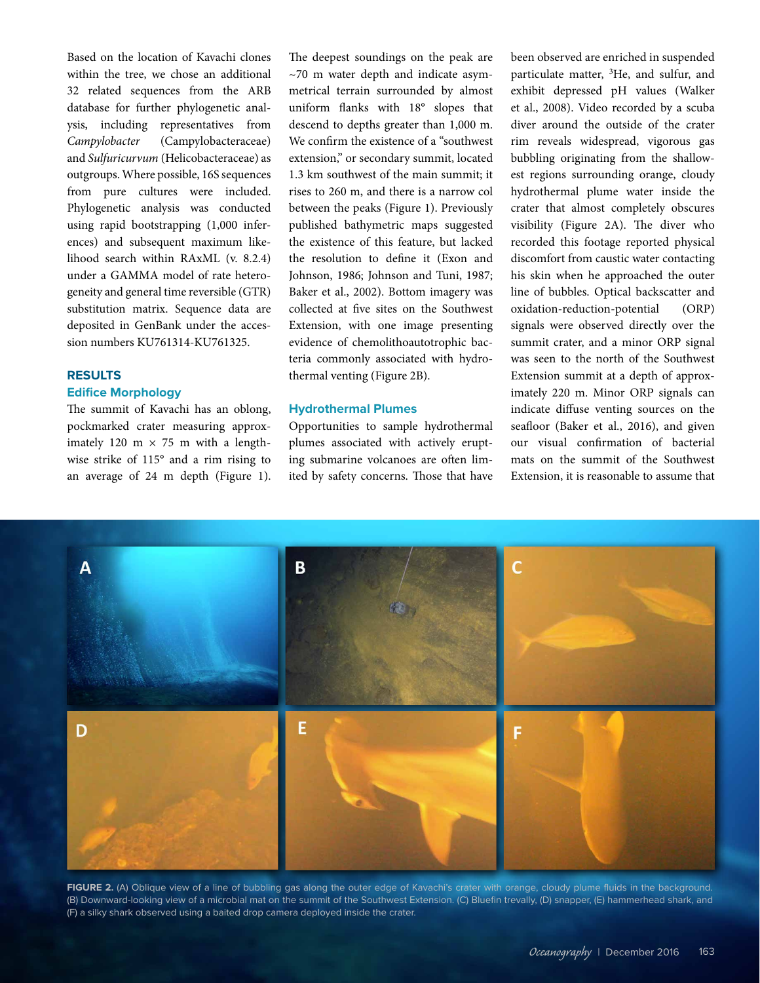Based on the location of Kavachi clones within the tree, we chose an additional 32 related sequences from the ARB database for further phylogenetic analysis, including representatives from *Campylobacter* (Campylobacteraceae) and *Sulfuricurvum* (Helicobacteraceae) as outgroups. Where possible, 16S sequences from pure cultures were included. Phylogenetic analysis was conducted using rapid bootstrapping (1,000 inferences) and subsequent maximum likelihood search within RAxML (v. 8.2.4) under a GAMMA model of rate heterogeneity and general time reversible (GTR) substitution matrix. Sequence data are deposited in GenBank under the accession numbers KU761314-KU761325.

# **RESULTS Edifice Morphology**

The summit of Kavachi has an oblong, pockmarked crater measuring approximately 120 m  $\times$  75 m with a lengthwise strike of 115° and a rim rising to an average of 24 m depth (Figure 1). The deepest soundings on the peak are  $~\sim$ 70 m water depth and indicate asymmetrical terrain surrounded by almost uniform flanks with 18° slopes that descend to depths greater than 1,000 m. We confirm the existence of a "southwest extension," or secondary summit, located 1.3 km southwest of the main summit; it rises to 260 m, and there is a narrow col between the peaks (Figure 1). Previously published bathymetric maps suggested the existence of this feature, but lacked the resolution to define it (Exon and Johnson, 1986; Johnson and Tuni, 1987; Baker et al., 2002). Bottom imagery was collected at five sites on the Southwest Extension, with one image presenting evidence of chemolithoautotrophic bacteria commonly associated with hydrothermal venting (Figure 2B).

# **Hydrothermal Plumes**

Opportunities to sample hydrothermal plumes associated with actively erupting submarine volcanoes are often limited by safety concerns. Those that have been observed are enriched in suspended particulate matter, <sup>3</sup>He, and sulfur, and exhibit depressed pH values (Walker et al., 2008). Video recorded by a scuba diver around the outside of the crater rim reveals widespread, vigorous gas bubbling originating from the shallowest regions surrounding orange, cloudy hydrothermal plume water inside the crater that almost completely obscures visibility (Figure 2A). The diver who recorded this footage reported physical discomfort from caustic water contacting his skin when he approached the outer line of bubbles. Optical backscatter and oxidation-reduction-potential (ORP) signals were observed directly over the summit crater, and a minor ORP signal was seen to the north of the Southwest Extension summit at a depth of approximately 220 m. Minor ORP signals can indicate diffuse venting sources on the seafloor (Baker et al., 2016), and given our visual confirmation of bacterial mats on the summit of the Southwest Extension, it is reasonable to assume that



**FIGURE 2.** (A) Oblique view of a line of bubbling gas along the outer edge of Kavachi's crater with orange, cloudy plume fluids in the background. (B) Downward-looking view of a microbial mat on the summit of the Southwest Extension. (C) Bluefin trevally, (D) snapper, (E) hammerhead shark, and (F) a silky shark observed using a baited drop camera deployed inside the crater.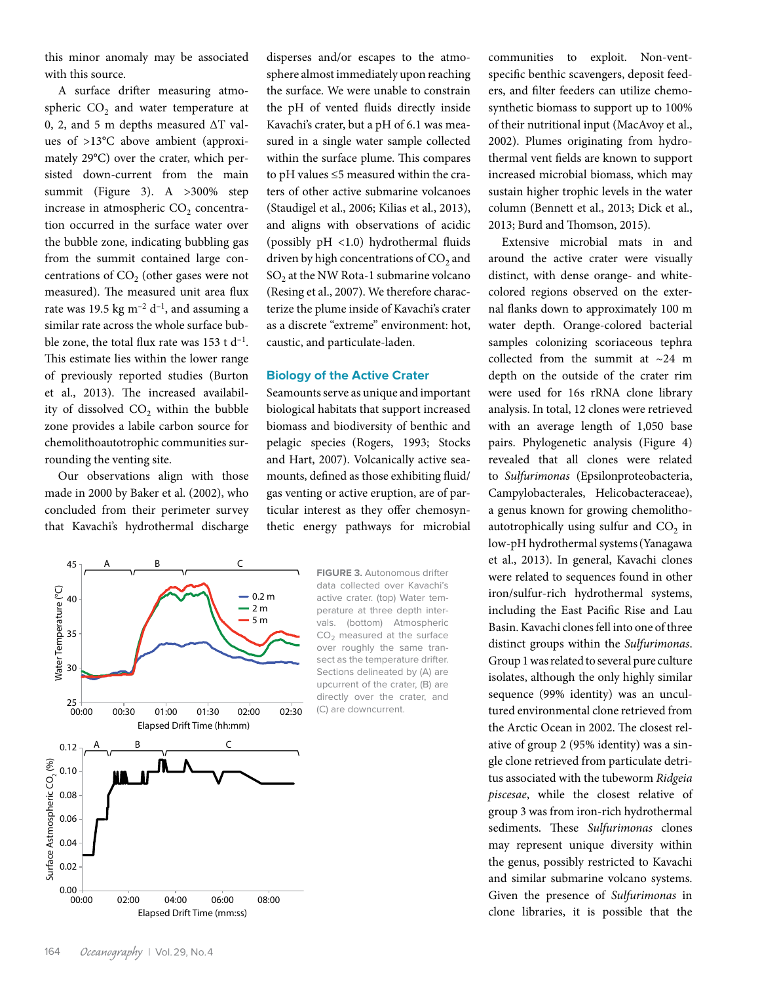this minor anomaly may be associated with this source.

A surface drifter measuring atmospheric  $CO<sub>2</sub>$  and water temperature at 0, 2, and 5 m depths measured ΔT values of >13**°**C above ambient (approximately 29**°**C) over the crater, which persisted down-current from the main summit (Figure 3). A >300% step increase in atmospheric CO<sub>2</sub> concentration occurred in the surface water over the bubble zone, indicating bubbling gas from the summit contained large concentrations of  $CO<sub>2</sub>$  (other gases were not measured). The measured unit area flux rate was 19.5 kg  $m^{-2}$  d<sup>-1</sup>, and assuming a similar rate across the whole surface bubble zone, the total flux rate was  $153$  t d<sup>-1</sup>. This estimate lies within the lower range of previously reported studies (Burton et al., 2013). The increased availability of dissolved  $CO<sub>2</sub>$  within the bubble zone provides a labile carbon source for chemolithoautotrophic communities surrounding the venting site.

Our observations align with those made in 2000 by Baker et al. (2002), who concluded from their perimeter survey that Kavachi's hydrothermal discharge



disperses and/or escapes to the atmosphere almost immediately upon reaching the surface. We were unable to constrain the pH of vented fluids directly inside Kavachi's crater, but a pH of 6.1 was measured in a single water sample collected within the surface plume. This compares to pH values ≤5 measured within the craters of other active submarine volcanoes (Staudigel et al., 2006; Kilias et al., 2013), and aligns with observations of acidic (possibly pH <1.0) hydrothermal fluids driven by high concentrations of  $CO<sub>2</sub>$  and  $SO<sub>2</sub>$  at the NW Rota-1 submarine volcano (Resing et al., 2007). We therefore characterize the plume inside of Kavachi's crater as a discrete "extreme" environment: hot, caustic, and particulate-laden.

#### **Biology of the Active Crater**

Seamounts serve as unique and important biological habitats that support increased biomass and biodiversity of benthic and pelagic species (Rogers, 1993; Stocks and Hart, 2007). Volcanically active seamounts, defined as those exhibiting fluid/ gas venting or active eruption, are of particular interest as they offer chemosynthetic energy pathways for microbial

> **FIGURE 3.** Autonomous drifter data collected over Kavachi's active crater. (top) Water temperature at three depth intervals. (bottom) Atmospheric  $CO<sub>2</sub>$  measured at the surface over roughly the same transect as the temperature drifter. Sections delineated by (A) are upcurrent of the crater, (B) are directly over the crater, and (C) are downcurrent.

communities to exploit. Non-ventspecific benthic scavengers, deposit feeders, and filter feeders can utilize chemosynthetic biomass to support up to 100% of their nutritional input (MacAvoy et al., 2002). Plumes originating from hydrothermal vent fields are known to support increased microbial biomass, which may sustain higher trophic levels in the water column (Bennett et al., 2013; Dick et al., 2013; Burd and Thomson, 2015).

Extensive microbial mats in and around the active crater were visually distinct, with dense orange- and whitecolored regions observed on the external flanks down to approximately 100 m water depth. Orange-colored bacterial samples colonizing scoriaceous tephra collected from the summit at  $\sim$ 24 m depth on the outside of the crater rim were used for 16s rRNA clone library analysis. In total, 12 clones were retrieved with an average length of 1,050 base pairs. Phylogenetic analysis (Figure 4) revealed that all clones were related to *Sulfurimonas* (Epsilonproteobacteria, Campylobacterales, Helicobacteraceae), a genus known for growing chemolithoautotrophically using sulfur and  $CO<sub>2</sub>$  in low-pH hydrothermal systems(Yanagawa et al., 2013). In general, Kavachi clones were related to sequences found in other iron/sulfur-rich hydrothermal systems, including the East Pacific Rise and Lau Basin. Kavachi clones fell into one of three distinct groups within the *Sulfurimonas*. Group 1 was related to several pure culture isolates, although the only highly similar sequence (99% identity) was an uncultured environmental clone retrieved from the Arctic Ocean in 2002. The closest relative of group 2 (95% identity) was a single clone retrieved from particulate detritus associated with the tubeworm *Ridgeia piscesae*, while the closest relative of group 3 was from iron-rich hydrothermal sediments. These *Sulfurimonas* clones may represent unique diversity within the genus, possibly restricted to Kavachi and similar submarine volcano systems. Given the presence of *Sulfurimonas* in clone libraries, it is possible that the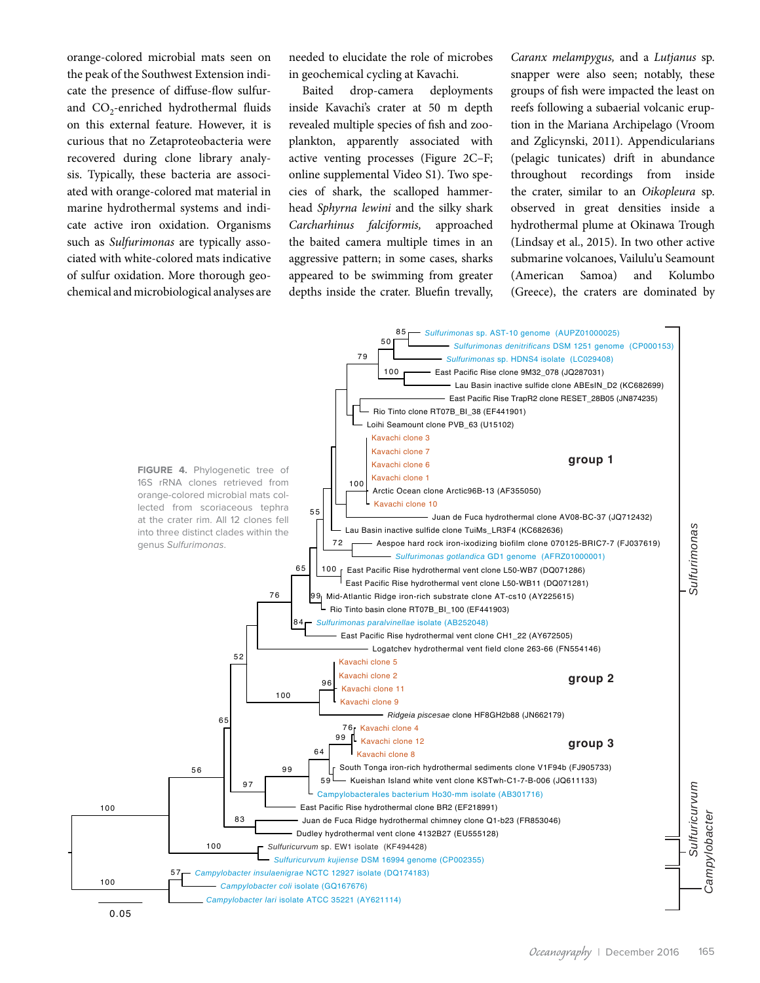orange-colored microbial mats seen on the peak of the Southwest Extension indicate the presence of diffuse-flow sulfurand  $CO_2$ -enriched hydrothermal fluids on this external feature. However, it is curious that no Zetaproteobacteria were recovered during clone library analysis. Typically, these bacteria are associated with orange-colored mat material in marine hydrothermal systems and indicate active iron oxidation. Organisms such as *Sulfurimonas* are typically associated with white-colored mats indicative of sulfur oxidation. More thorough geochemical and microbiological analyses are needed to elucidate the role of microbes in geochemical cycling at Kavachi.

Baited drop-camera deployments inside Kavachi's crater at 50 m depth revealed multiple species of fish and zooplankton, apparently associated with active venting processes (Figure 2C–F; online supplemental Video S1). Two species of shark, the scalloped hammerhead *Sphyrna lewini* and the silky shark *Carcharhinus falciformis,* approached the baited camera multiple times in an aggressive pattern; in some cases, sharks appeared to be swimming from greater depths inside the crater. Bluefin trevally, *Caranx melampygus,* and a *Lutjanus* sp. snapper were also seen; notably, these groups of fish were impacted the least on reefs following a subaerial volcanic eruption in the Mariana Archipelago (Vroom and Zglicynski, 2011). Appendicularians (pelagic tunicates) drift in abundance throughout recordings from inside the crater, similar to an *Oikopleura* sp. observed in great densities inside a hydrothermal plume at Okinawa Trough (Lindsay et al., 2015). In two other active submarine volcanoes, Vailulu'u Seamount (American Samoa) and Kolumbo (Greece), the craters are dominated by

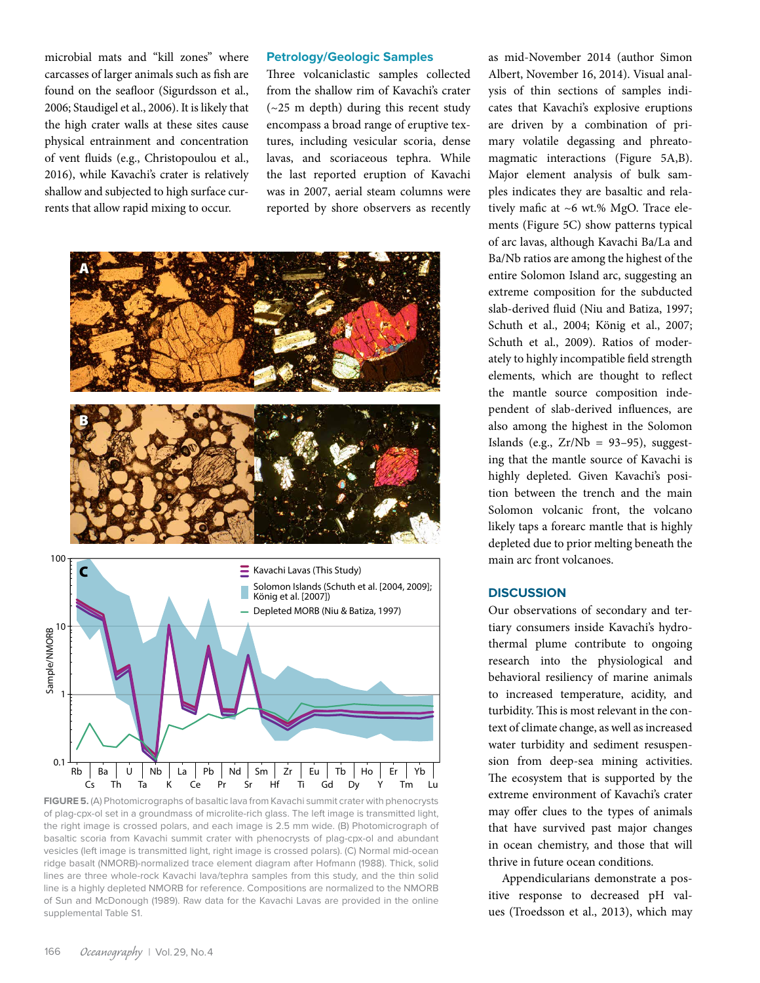microbial mats and "kill zones" where carcasses of larger animals such as fish are found on the seafloor (Sigurdsson et al., 2006; Staudigel et al., 2006). It is likely that the high crater walls at these sites cause physical entrainment and concentration of vent fluids (e.g., Christopoulou et al., 2016), while Kavachi's crater is relatively shallow and subjected to high surface currents that allow rapid mixing to occur.

## **Petrology/Geologic Samples**

Three volcaniclastic samples collected from the shallow rim of Kavachi's crater (~25 m depth) during this recent study encompass a broad range of eruptive textures, including vesicular scoria, dense lavas, and scoriaceous tephra. While the last reported eruption of Kavachi was in 2007, aerial steam columns were reported by shore observers as recently



**FIGURE 5.** (A) Photomicrographs of basaltic lava from Kavachi summit crater with phenocrysts of plag-cpx-ol set in a groundmass of microlite-rich glass. The left image is transmitted light, the right image is crossed polars, and each image is 2.5 mm wide. (B) Photomicrograph of basaltic scoria from Kavachi summit crater with phenocrysts of plag-cpx-ol and abundant vesicles (left image is transmitted light, right image is crossed polars). (C) Normal mid-ocean ridge basalt (NMORB)-normalized trace element diagram after Hofmann (1988). Thick, solid lines are three whole-rock Kavachi lava/tephra samples from this study, and the thin solid line is a highly depleted NMORB for reference. Compositions are normalized to the NMORB of Sun and McDonough (1989). Raw data for the Kavachi Lavas are provided in the online supplemental Table S1.

as mid-November 2014 (author Simon Albert, November 16, 2014). Visual analysis of thin sections of samples indicates that Kavachi's explosive eruptions are driven by a combination of primary volatile degassing and phreatomagmatic interactions (Figure 5A,B). Major element analysis of bulk samples indicates they are basaltic and relatively mafic at ~6 wt.% MgO. Trace elements (Figure 5C) show patterns typical of arc lavas, although Kavachi Ba/La and Ba/Nb ratios are among the highest of the entire Solomon Island arc, suggesting an extreme composition for the subducted slab-derived fluid (Niu and Batiza, 1997; Schuth et al., 2004; König et al., 2007; Schuth et al., 2009). Ratios of moderately to highly incompatible field strength elements, which are thought to reflect the mantle source composition independent of slab-derived influences, are also among the highest in the Solomon Islands (e.g.,  $Zr/Nb = 93-95$ ), suggesting that the mantle source of Kavachi is highly depleted. Given Kavachi's position between the trench and the main Solomon volcanic front, the volcano likely taps a forearc mantle that is highly depleted due to prior melting beneath the main arc front volcanoes.

## **DISCUSSION**

Our observations of secondary and tertiary consumers inside Kavachi's hydrothermal plume contribute to ongoing research into the physiological and behavioral resiliency of marine animals to increased temperature, acidity, and turbidity. This is most relevant in the context of climate change, as well as increased water turbidity and sediment resuspension from deep-sea mining activities. The ecosystem that is supported by the extreme environment of Kavachi's crater may offer clues to the types of animals that have survived past major changes in ocean chemistry, and those that will thrive in future ocean conditions.

Appendicularians demonstrate a positive response to decreased pH values (Troedsson et al., 2013), which may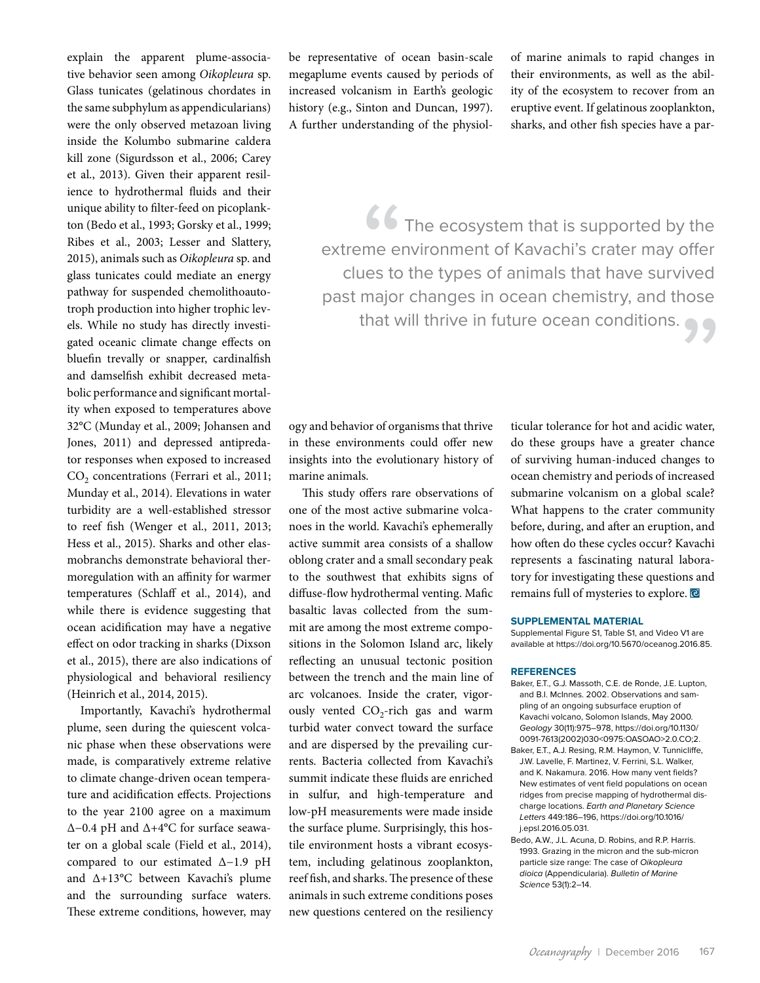explain the apparent plume-associative behavior seen among *Oikopleura* sp. Glass tunicates (gelatinous chordates in the same subphylum as appendicularians) were the only observed metazoan living inside the Kolumbo submarine caldera kill zone (Sigurdsson et al., 2006; Carey et al., 2013). Given their apparent resilience to hydrothermal fluids and their unique ability to filter-feed on picoplankton (Bedo et al., 1993; Gorsky et al., 1999; Ribes et al., 2003; Lesser and Slattery, 2015), animals such as *Oikopleura* sp. and glass tunicates could mediate an energy pathway for suspended chemolithoautotroph production into higher trophic levels. While no study has directly investigated oceanic climate change effects on bluefin trevally or snapper, cardinalfish and damselfish exhibit decreased metabolic performance and significant mortality when exposed to temperatures above 32°C (Munday et al., 2009; Johansen and Jones, 2011) and depressed antipredator responses when exposed to increased CO<sub>2</sub> concentrations (Ferrari et al., 2011; Munday et al., 2014). Elevations in water turbidity are a well-established stressor to reef fish (Wenger et al., 2011, 2013; Hess et al., 2015). Sharks and other elasmobranchs demonstrate behavioral thermoregulation with an affinity for warmer temperatures (Schlaff et al., 2014), and while there is evidence suggesting that ocean acidification may have a negative effect on odor tracking in sharks (Dixson et al., 2015), there are also indications of physiological and behavioral resiliency (Heinrich et al., 2014, 2015).

Importantly, Kavachi's hydrothermal plume, seen during the quiescent volcanic phase when these observations were made, is comparatively extreme relative to climate change-driven ocean temperature and acidification effects. Projections to the year 2100 agree on a maximum ∆−0.4 pH and ∆+4°C for surface seawater on a global scale (Field et al., 2014), compared to our estimated ∆−1.9 pH and ∆+13°C between Kavachi's plume and the surrounding surface waters. These extreme conditions, however, may be representative of ocean basin-scale megaplume events caused by periods of increased volcanism in Earth's geologic history (e.g., Sinton and Duncan, 1997). A further understanding of the physiolof marine animals to rapid changes in their environments, as well as the ability of the ecosystem to recover from an eruptive event. If gelatinous zooplankton, sharks, and other fish species have a par-

66<br>
me en<br>
ues to<br>
major The ecosystem that is supported by the extreme environment of Kavachi's crater may offer clues to the types of animals that have survived past major changes in ocean chemistry, and those that will thrive in future ocean conditions. " .

ogy and behavior of organisms that thrive in these environments could offer new insights into the evolutionary history of marine animals.

This study offers rare observations of one of the most active submarine volcanoes in the world. Kavachi's ephemerally active summit area consists of a shallow oblong crater and a small secondary peak to the southwest that exhibits signs of diffuse-flow hydrothermal venting. Mafic basaltic lavas collected from the summit are among the most extreme compositions in the Solomon Island arc, likely reflecting an unusual tectonic position between the trench and the main line of arc volcanoes. Inside the crater, vigorously vented  $CO<sub>2</sub>$ -rich gas and warm turbid water convect toward the surface and are dispersed by the prevailing currents. Bacteria collected from Kavachi's summit indicate these fluids are enriched in sulfur, and high-temperature and low-pH measurements were made inside the surface plume. Surprisingly, this hostile environment hosts a vibrant ecosystem, including gelatinous zooplankton, reef fish, and sharks. The presence of these animals in such extreme conditions poses new questions centered on the resiliency

ticular tolerance for hot and acidic water, do these groups have a greater chance of surviving human-induced changes to ocean chemistry and periods of increased submarine volcanism on a global scale? What happens to the crater community before, during, and after an eruption, and how often do these cycles occur? Kavachi represents a fascinating natural laboratory for investigating these questions and remains full of mysteries to explore.

#### **SUPPLEMENTAL MATERIAL**

Supplemental Figure S1, Table S1, and Video V1 are available at<https://doi.org/10.5670/oceanog.2016.85>.

#### **REFERENCES**

- Baker, E.T., G.J. Massoth, C.E. de Ronde, J.E. Lupton, and B.I. McInnes. 2002. Observations and sampling of an ongoing subsurface eruption of Kavachi volcano, Solomon Islands, May 2000. *Geology* 30(11):975–978, [https://doi.org/10.1130/](http://dx.doi.org/10.1130/0091-7613(2002)030<0975:OASOAO>2.0.CO;2) [0091-7613\(2002\)030<0975:OASOAO>2.0.CO;2.](http://dx.doi.org/10.1130/0091-7613(2002)030<0975:OASOAO>2.0.CO;2)
- Baker, E.T., A.J. Resing, R.M. Haymon, V. Tunnicliffe, J.W. Lavelle, F. Martinez, V. Ferrini, S.L. Walker, and K. Nakamura. 2016. How many vent fields? New estimates of vent field populations on ocean ridges from precise mapping of hydrothermal discharge locations. *Earth and Planetary Science Letters* 449:186–196, [https://doi.org/10.1016/](http://dx.doi.org/10.1016/j.epsl.2016.05.031) [j.epsl.2016.05.031.](http://dx.doi.org/10.1016/j.epsl.2016.05.031)
- Bedo, A.W., J.L. Acuna, D. Robins, and R.P. Harris. 1993. Grazing in the micron and the sub-micron particle size range: The case of *Oikopleura dioica* (Appendicularia). *Bulletin of Marine Science* 53(1):2–14.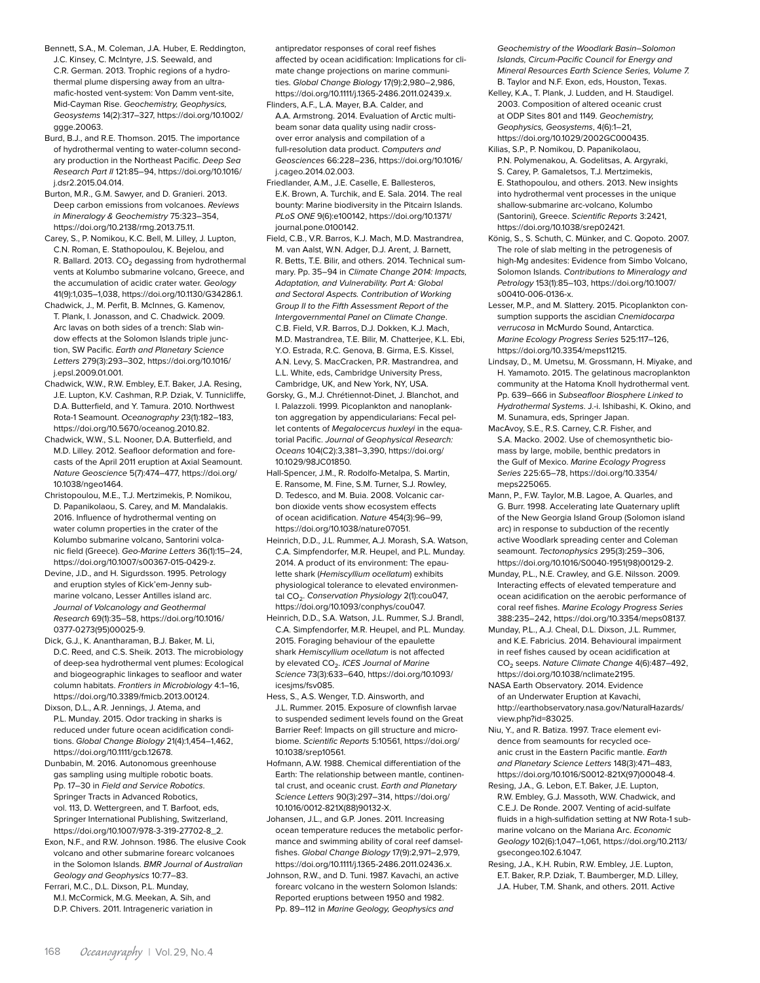- Bennett, S.A., M. Coleman, J.A. Huber, E. Reddington, J.C. Kinsey, C. McIntyre, J.S. Seewald, and C.R. German. 2013. Trophic regions of a hydrothermal plume dispersing away from an ultramafic-hosted vent-system: Von Damm vent-site, Mid-Cayman Rise. *Geochemistry, Geophysics, Geosystems* 14(2):317–327, [https://doi.org/10.1002/](http://dx.doi.org/10.1002/ggge.20063) [ggge.20063](http://dx.doi.org/10.1002/ggge.20063).
- Burd, B.J., and R.E. Thomson. 2015. The importance of hydrothermal venting to water-column secondary production in the Northeast Pacific. *Deep Sea Research Part II* 121:85–94, [https://doi.org/10.1016/](http://dx.doi.org/10.1016/j.dsr2.2015.04.014) [j.dsr2.2015.04.014](http://dx.doi.org/10.1016/j.dsr2.2015.04.014).
- Burton, M.R., G.M. Sawyer, and D. Granieri. 2013. Deep carbon emissions from volcanoes. *Reviews in Mineralogy & Geochemistry* 75:323–354, [https://doi.org/10.2138/rmg.2013.75.11](http://dx.doi.org/10.2138/rmg.2013.75.11).
- Carey, S., P. Nomikou, K.C. Bell, M. Lilley, J. Lupton, C.N. Roman, E. Stathopoulou, K. Bejelou, and R. Ballard. 2013.  $CO<sub>2</sub>$  degassing from hydrothermal vents at Kolumbo submarine volcano, Greece, and the accumulation of acidic crater water. *Geology* 41(9):1,035–1,038, [https://doi.org/10.1130/G34286.1.](http://dx.doi.org/10.1130/G34286.1)
- Chadwick, J., M. Perfit, B. McInnes, G. Kamenov, T. Plank, I. Jonasson, and C. Chadwick. 2009. Arc lavas on both sides of a trench: Slab window effects at the Solomon Islands triple junction, SW Pacific. *Earth and Planetary Science Letters* 279(3):293–302, [https://doi.org/10.1016/](http://dx.doi.org/10.1016/j.epsl.2009.01.001) [j.epsl.2009.01.001.](http://dx.doi.org/10.1016/j.epsl.2009.01.001)
- Chadwick, W.W., R.W. Embley, E.T. Baker, J.A. Resing, J.E. Lupton, K.V. Cashman, R.P. Dziak, V. Tunnicliffe, D.A. Butterfield, and Y. Tamura. 2010. Northwest Rota-1 Seamount. *Oceanography* 23(1):182–183, [https://doi.org/10.5670/oceanog.2010.82](http://dx.doi.org/10.5670/oceanog.2010.82).
- Chadwick, W.W., S.L. Nooner, D.A. Butterfield, and M.D. Lilley. 2012. Seafloor deformation and forecasts of the April 2011 eruption at Axial Seamount. *Nature Geoscience* 5(7):474–477, [https://doi.org/](http://dx.doi.org/10.1038/ngeo1464) [10.1038/ngeo1464.](http://dx.doi.org/10.1038/ngeo1464)
- Christopoulou, M.E., T.J. Mertzimekis, P. Nomikou, D. Papanikolaou, S. Carey, and M. Mandalakis. 2016. Influence of hydrothermal venting on water column properties in the crater of the Kolumbo submarine volcano, Santorini volcanic field (Greece). *Geo-Marine Letters* 36(1):15–24, [https://doi.org/10.1007/s00367-015-0429-z](http://dx.doi.org/10.1007/s00367-015-0429-z).
- Devine, J.D., and H. Sigurdsson. 1995. Petrology and eruption styles of Kick'em-Jenny submarine volcano, Lesser Antilles island arc. *Journal of Volcanology and Geothermal Research* 69(1):35–58, [https://doi.org/10.1016/](http://dx.doi.org/10.1016/0377-0273(95)00025-9) [0377-0273\(95\)00025-9](http://dx.doi.org/10.1016/0377-0273(95)00025-9).
- Dick, G.J., K. Anantharaman, B.J. Baker, M. Li, D.C. Reed, and C.S. Sheik. 2013. The microbiology of deep-sea hydrothermal vent plumes: Ecological and biogeographic linkages to seafloor and water column habitats. *Frontiers in Microbiology* 4:1–16, [https://doi.org/10.3389/fmicb.2013.00124](http://dx.doi.org/10.3389/fmicb.2013.00124).
- Dixson, D.L., A.R. Jennings, J. Atema, and P.L. Munday. 2015. Odor tracking in sharks is reduced under future ocean acidification conditions. *Global Change Biology* 21(4):1,454–1,462, [https://doi.org/10.1111/gcb.12678.](http://dx.doi.org/10.1111/gcb.12678)
- Dunbabin, M. 2016. Autonomous greenhouse gas sampling using multiple robotic boats. Pp. 17–30 in *Field and Service Robotics*. Springer Tracts in Advanced Robotics, vol. 113, D. Wettergreen, and T. Barfoot, eds, Springer International Publishing, Switzerland, [https://doi.org/10.1007/978-3-319-27702-8\\_2](http://dx.doi.org/10.1007/978-3-319-27702-8_2).
- Exon, N.F., and R.W. Johnson. 1986. The elusive Cook volcano and other submarine forearc volcanoes in the Solomon Islands. *BMR Journal of Australian Geology and Geophysics* 10:77–83.
- Ferrari, M.C., D.L. Dixson, P.L. Munday, M.I. McCormick, M.G. Meekan, A. Sih, and D.P. Chivers. 2011. Intrageneric variation in

antipredator responses of coral reef fishes affected by ocean acidification: Implications for climate change projections on marine communities. *Global Change Biology* 17(9):2,980–2,986, [https://doi.org/10.1111/j.1365-2486.2011.02439.x](http://dx.doi.org/10.1111/j.1365-2486.2011.02439.x).

- Flinders, A.F., L.A. Mayer, B.A. Calder, and A.A. Armstrong. 2014. Evaluation of Arctic multibeam sonar data quality using nadir crossover error analysis and compilation of a full-resolution data product. *Computers and Geosciences* 66:228–236, [https://doi.org/10.1016/](http://dx.doi.org/10.1016/j.cageo.2014.02.003) [j.cageo.2014.02.003](http://dx.doi.org/10.1016/j.cageo.2014.02.003).
- Friedlander, A.M., J.E. Caselle, E. Ballesteros, E.K. Brown, A. Turchik, and E. Sala. 2014. The real bounty: Marine biodiversity in the Pitcairn Islands. *PLoS ONE* 9(6):e100142, [https://doi.org/10.1371/](http://dx.doi.org/10.1371/journal.pone.0100142) [journal.pone.0100142](http://dx.doi.org/10.1371/journal.pone.0100142).
- Field, C.B., V.R. Barros, K.J. Mach, M.D. Mastrandrea, M. van Aalst, W.N. Adger, D.J. Arent, J. Barnett, R. Betts, T.E. Bilir, and others. 2014. Technical summary. Pp. 35–94 in *Climate Change 2014: Impacts, Adaptation, and Vulnerability. Part A: Global and Sectoral Aspects. Contribution of Working Group II to the Fifth Assessment Report of the Intergovernmental Panel on Climate Change*. C.B. Field, V.R. Barros, D.J. Dokken, K.J. Mach, M.D. Mastrandrea, T.E. Bilir, M. Chatterjee, K.L. Ebi, Y.O. Estrada, R.C. Genova, B. Girma, E.S. Kissel, A.N. Levy, S. MacCracken, P.R. Mastrandrea, and L.L. White, eds, Cambridge University Press, Cambridge, UK, and New York, NY, USA.
- Gorsky, G., M.J. Chrétiennot-Dinet, J. Blanchot, and I. Palazzoli. 1999. Picoplankton and nanoplankton aggregation by appendicularians: Fecal pellet contents of *Megalocercus huxleyi* in the equatorial Pacific. *Journal of Geophysical Research: Oceans* 104(C2):3,381–3,390, [https://doi.org/](http://dx.doi.org/10.1029/98JC01850) [10.1029/98JC01850.](http://dx.doi.org/10.1029/98JC01850)
- Hall-Spencer, J.M., R. Rodolfo-Metalpa, S. Martin, E. Ransome, M. Fine, S.M. Turner, S.J. Rowley, D. Tedesco, and M. Buia. 2008. Volcanic carbon dioxide vents show ecosystem effects of ocean acidification. *Nature* 454(3):96–99, [https://doi.org/10.1038/nature07051](http://dx.doi.org/10.1038/nature07051).
- Heinrich, D.D., J.L. Rummer, A.J. Morash, S.A. Watson, C.A. Simpfendorfer, M.R. Heupel, and P.L. Munday. 2014. A product of its environment: The epaulette shark (*Hemiscyllium ocellatum*) exhibits physiological tolerance to elevated environmental CO2. *Conservation Physiology* 2(1):cou047, [https://doi.org/10.1093/conphys/cou047](http://dx.doi.org/10.1093/conphys/cou047).
- Heinrich, D.D., S.A. Watson, J.L. Rummer, S.J. Brandl, C.A. Simpfendorfer, M.R. Heupel, and P.L. Munday. 2015. Foraging behaviour of the epaulette shark *Hemiscyllium ocellatum* is not affected by elevated CO<sub>2</sub>. *ICES Journal of Marine Science* 73(3):633–640, [https://doi.org/10.1093/](http://dx.doi.org/10.1093/icesjms/fsv085) [icesjms/fsv085.](http://dx.doi.org/10.1093/icesjms/fsv085)
- Hess, S., A.S. Wenger, T.D. Ainsworth, and J.L. Rummer. 2015. Exposure of clownfish larvae to suspended sediment levels found on the Great Barrier Reef: Impacts on gill structure and microbiome. *Scientific Reports* 5:10561, [https://doi.org/](http://dx.doi.org/10.1038/srep10561) [10.1038/srep10561](http://dx.doi.org/10.1038/srep10561).
- Hofmann, A.W. 1988. Chemical differentiation of the Earth: The relationship between mantle, continental crust, and oceanic crust. *Earth and Planetary Science Letters* 90(3):297–314, [https://doi.org/](http://dx.doi.org/10.1016/0012-821X(88)90132-X) [10.1016/0012-821X\(88\)90132-X.](http://dx.doi.org/10.1016/0012-821X(88)90132-X)
- Johansen, J.L., and G.P. Jones. 2011. Increasing ocean temperature reduces the metabolic performance and swimming ability of coral reef damselfishes. *Global Change Biology* 17(9):2,971–2,979, [https://doi.org/10.1111/j.1365-2486.2011.02436.x.](http://dx.doi.org/10.1111/j.1365-2486.2011.02436.x)
- Johnson, R.W., and D. Tuni. 1987. Kavachi, an active forearc volcano in the western Solomon Islands: Reported eruptions between 1950 and 1982. Pp. 89–112 in *Marine Geology, Geophysics and*

*Geochemistry of the Woodlark Basin–Solomon Islands, Circum-Pacific Council for Energy and Mineral Resources Earth Science Series, Volume 7.* B. Taylor and N.F. Exon, eds, Houston, Texas.

- Kelley, K.A., T. Plank, J. Ludden, and H. Staudigel. 2003. Composition of altered oceanic crust at ODP Sites 801 and 1149. *Geochemistry, Geophysics, Geosystems*, 4(6):1–21, [https://doi.org/10.1029/2002GC000435](http://dx.doi.org/10.1029/2002GC000435).
- Kilias, S.P., P. Nomikou, D. Papanikolaou, P.N. Polymenakou, A. Godelitsas, A. Argyraki, S. Carey, P. Gamaletsos, T.J. Mertzimekis, E. Stathopoulou, and others. 2013. New insights into hydrothermal vent processes in the unique shallow-submarine arc-volcano, Kolumbo (Santorini), Greece. *Scientific Reports* 3:2421, [https://doi.org/10.1038/srep02421.](http://dx.doi.org/10.1038/srep02421)
- König, S., S. Schuth, C. Münker, and C. Qopoto. 2007. The role of slab melting in the petrogenesis of high-Mg andesites: Evidence from Simbo Volcano, Solomon Islands. *Contributions to Mineralogy and Petrology* 153(1):85–103, [https://doi.org/10.1007/](http://dx.doi.org/10.1007/s00410-006-0136-x) [s00410-006-0136-x](http://dx.doi.org/10.1007/s00410-006-0136-x).
- Lesser, M.P., and M. Slattery. 2015. Picoplankton consumption supports the ascidian *Cnemidocarpa verrucosa* in McMurdo Sound, Antarctica. *Marine Ecology Progress Series* 525:117–126, [https://doi.org/10.3354/meps11215.](http://dx.doi.org/10.3354/meps11215)
- Lindsay, D., M. Umetsu, M. Grossmann, H. Miyake, and H. Yamamoto. 2015. The gelatinous macroplankton community at the Hatoma Knoll hydrothermal vent. Pp. 639–666 in *Subseafloor Biosphere Linked to Hydrothermal Systems*. J.-i. Ishibashi, K. Okino, and M. Sunamura, eds, Springer Japan.
- MacAvoy, S.E., R.S. Carney, C.R. Fisher, and S.A. Macko. 2002. Use of chemosynthetic biomass by large, mobile, benthic predators in the Gulf of Mexico. *Marine Ecology Progress Series* 225:65–78, [https://doi.org/10.3354/](http://dx.doi.org/10.3354/meps225065) [meps225065.](http://dx.doi.org/10.3354/meps225065)
- Mann, P., F.W. Taylor, M.B. Lagoe, A. Quarles, and G. Burr. 1998. Accelerating late Quaternary uplift of the New Georgia Island Group (Solomon island arc) in response to subduction of the recently active Woodlark spreading center and Coleman seamount. *Tectonophysics* 295(3):259–306, [https://doi.org/10.1016/S0040-1951\(98\)00129-2](http://dx.doi.org/10.1016/S0040-1951(98)00129-2).
- Munday, P.L., N.E. Crawley, and G.E. Nilsson. 2009. Interacting effects of elevated temperature and ocean acidification on the aerobic performance of coral reef fishes. *Marine Ecology Progress Series* 388:235–242, [https://doi.org/10.3354/meps08137](http://dx.doi.org/10.3354/meps08137).
- Munday, P.L., A.J. Cheal, D.L. Dixson, J.L. Rummer, and K.E. Fabricius. 2014. Behavioural impairment in reef fishes caused by ocean acidification at CO2 seeps. *Nature Climate Change* 4(6):487–492, [https://doi.org/10.1038/nclimate2195](http://dx.doi.org/10.1038/nclimate2195).
- NASA Earth Observatory. 2014. Evidence of an Underwater Eruption at Kavachi, [http://earthobservatory.nasa.gov/NaturalHazards/](http://earthobservatory.nasa.gov/NaturalHazards/view.php?id=83025.) [view.php?id=83025.](http://earthobservatory.nasa.gov/NaturalHazards/view.php?id=83025.)
- Niu, Y., and R. Batiza. 1997. Trace element evidence from seamounts for recycled oceanic crust in the Eastern Pacific mantle. *Earth and Planetary Science Letters* 148(3):471–483, [https://doi.org/10.1016/S0012-821X\(97\)00048-4.](http://dx.doi.org/10.1016/S0012-821X(97)00048-4)
- Resing, J.A., G. Lebon, E.T. Baker, J.E. Lupton, R.W. Embley, G.J. Massoth, W.W. Chadwick, and C.E.J. De Ronde. 2007. Venting of acid-sulfate fluids in a high-sulfidation setting at NW Rota-1 submarine volcano on the Mariana Arc. *Economic Geology* 102(6):1,047–1,061, [https://doi.org/10.2113/](http://dx.doi.org/10.2113/gsecongeo.102.6.1047) [gsecongeo.102.6.1047](http://dx.doi.org/10.2113/gsecongeo.102.6.1047).
- Resing, J.A., K.H. Rubin, R.W. Embley, J.E. Lupton, E.T. Baker, R.P. Dziak, T. Baumberger, M.D. Lilley, J.A. Huber, T.M. Shank, and others. 2011. Active